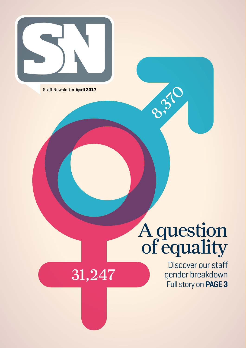

Staff Newsletter **April 2017**

31,247

# A question of equality

8.370

Discover our staff gender breakdown Full story on **PAGE 3**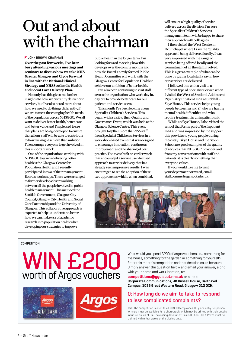## Out and about with the chairman

#### **JOHN BROWN, CHAIRMAN**

**Over the past few weeks, I've been busy attending various meetings and seminars to discuss how we take NHS Greater Glasgow and Clyde forward in line with the National Clinical Strategy and NHSScotland's Health and Social Care Delivery Plan.** 

Not only has this given me further insight into how we currently deliver our services, but I've also heard more about how we need to do things differently, if we are to meet the changing health needs of the population across NHSGGC. We all want to deliver better health, better care and better value and I'm pleased to see that plans are being developed to ensure that all our staff will be able to contribute to how we might achieve that ambition. I'd encourage everyone to get involved in this important work.

One of the organisations working with NHSGGC towards delivering better health is the Glasgow Centre for Population Health and I recently participated in two of their management Board's workshops. These were arranged to further develop closer working between all the people involved in public health management. This included the Scottish Government, Glasgow City Council, Glasgow City Health and Social Care Partnership and the University of Glasgow. This collaborative approach is expected to help us understand better how we can make use of academic research into population health when developing our strategies to improve

public health in the longer term. I'm looking forward to seeing how this develops over the coming months and how the Board's newly formed Public Health Committee will work with the Glasgow Centre for Population Health to achieve our ambition of better health.

I've also been continuing to visit staff across the organisation who work day in, day out to provide better care for our patients and service users.

This month I've been looking at our Specialist Children's Services. This began with a visit to their Quality and Governance Event, which was held at the Glasgow Science Centre. This event brought together more than 200 staff from Specialist Children's Services in a workshop-based event that was designed to encourage innovation, continuous improvement and the sharing of best practice. The event built on earlier work that encouraged a service user-focused approach to service delivery that has already seen impressive results. I was encouraged to see the adoption of these two approaches which, when combined,

will ensure a high quality of service delivery across the division. I'm sure the Specialist Children's Services management team will be happy to share their approach with colleagues.

I then visited the West Centre in Drumchapel where I saw the 'quality approach' being delivered locally. I was very impressed with the range of services being offered locally and the commitment of all the staff involved. This is a great example of what can be done by giving local staff a say in how our services are delivered.

I followed this with a visit to a different type of Specialist Service when I visited the West of Scotland Adolescent Psychiatry Inpatient Unit at Stobhill – Skye House. This service helps young people between 12 and 17 who are having mental health difficulties and who require treatment in an inpatient unit.

While at Skye House, I also visited the school that forms part of the Inpatient Unit and was impressed by the support this provides to young people during their stay. Skye House and the Stobhill School are good examples of the quality of services that NHSGGC provides and from my conversations with staff and patients, it is clearly something that everyone values.

If you would like me to visit your department or ward, email: staff.comms@ggc.scot.nhs.uk



#### **COMPETITION**

## WIN £200 worth of Argos vouchers



What would you spend £200 of Argos vouchers on... something for the house, something for the garden or something for yourself? Enter this month's competition and that decision could be yours! Simply answer the question below and email your answer, along with your name and work location, to:

#### **competitions@ggc.scot.nhs.uk** or send to: **Corporate Communications, JB Russell House, Gartnavel Campus, 1055 Great Western Road, Glasgow G12 OXH.**

#### **Q: How long do we aim to take to respond to less complicated complaints?**

T&C: The competition is open to all NHSGGC employees. Only one entry per person. Winners must be available for a photograph, which may be printed with their details in future issues of SN. The closing date for entries is 30 April 2017. Prizes must be claimed within four weeks of the closing date.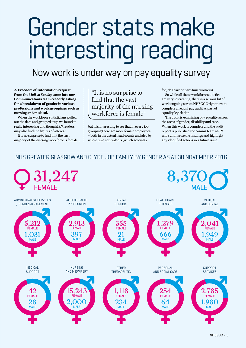# Gender stats make interesting reading

## Now work is under way on pay equality survey

**A Freedom of Information request from the** *Mail on Sunday* **came into our Communications team recently asking for a breakdown of gender in various professions and work groupings such as nursing and medical.**

When the workforce statisticians pulled out the data and grouped it up we found it really interesting and thought *SN* readers may also find the figures of interest.

It is no surprise to find that the vast majority of the nursing workforce is female…

"It is no surprise to find that the vast majority of the nursing workforce is female"

but it is interesting to see that in every job grouping there are more female employees – both in the actual head counts and also by whole time equivalents (which accounts

for job share or part-time workers).

So while all these workforce statistics are very interesting, there is a serious bit of work ongoing across NHSGGC right now to complete an equal pay audit as part of equality legislation.

The audit is examining pay equality across the areas of gender, disability and race. When this work is complete and the audit report is published the comms team at *SN* will summarise the findings and highlight any identified actions in a future issue.

#### NHS GREATER GLASGOW AND CLYDE JOB FAMILY BY GENDER AS AT 30 NOVEMBER 2016

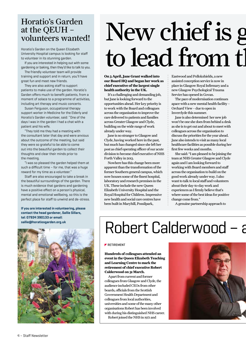### Horatio's Garden at the QEUH – volunteers wanted!

Horatio's Garden on the Queen Elizabeth University Hospital campus is looking for staff to volunteer in its stunning garden.

If you are interested in helping out with some gardening or baking, then they'd like to talk to you.

The friendly volunteer team will provide training and support and in return, you'll have great fun and meet new friends.

They are also asking staff to support patients to make use of the garden. Horatio's Garden offers much to benefit patients, from a moment of solace to a programme of activities, including art therapy and music concerts.

Susan Ferguson, occupational therapy support worker in Medicine for the Elderly and Horatio's Garden volunteer, said: ''One of the days I was in the garden I had a chat with a patient and his wife.

"They told me they had a meeting with the consultant later that day and were anxious about the outcome of the meeting, but said they were so grateful to be able to come out into the beautiful garden to collect their thoughts and clear their minds prior to the meeting.

"I was so pleased the garden helped them at such a difficult time – for me, that was a huge reward for my time as a volunteer.''

Staff are also encouraged to take a break in the beautiful surroundings of the garden. There is much evidence that gardens and gardening have a positive effect on a person's physical, mental and emotional wellbeing, so this is the perfect place for staff to unwind and de-stress.

**If you are interested in volunteering, please contact the head gardener, Sallie Sillars, tel: 07934 390133 or email: sallie@horatiosgarden.org.uk** 



# New chief is g to lead from the

**On 3 April, Jane Grant walked into our Board HQ and began her work as chief executive of the largest single health authority in the UK.** 

It's a challenging and demanding job, but Jane is looking forward to the opportunities ahead. Her key priority is to work with the Board and colleagues across the organisation to improve the care delivered to patients and families across Greater Glasgow and Clyde, building on the wide range of work already under way.

Jane is no stranger to Glasgow and Clyde, having worked here in the past, but much has changed since she left her post as chief operating officer of our acute division to become chief executive of NHS Forth Valley in 2013.

Nowhere has this change been more apparent than the transformation of the former Southern general campus, which now houses some of the finest hospital, laboratory and research premises in the UK. These include the new Queen Elizabeth University Hospital and the Royal Hospital for Children. Impressive new health and social care centres have been built in Maryhill, Possilpark,

Eastwood and Pollokshields, a new assisted conception service is now in place in Glasgow Royal Infirmary and a new Glasgow Psychological Trauma Service has opened in Govan.

The pace of modernisation continues apace with a new mental health facility – Orchard View – due to open in Inverclyde this summer.

Jane is also determined her new job won't be one she does from behind a desk as she is to get out and about to meet with colleagues across the organisation to discuss the priorities for the year ahead. Jane also intends to visit as many local healthcare facilities as possible during her first few weeks and months.

She said: "I am pleased to be joining the team at NHS Greater Glasgow and Clyde again and I am looking forward to working with Board members and staff across the organisation to build on the good work already under way. I also want to talk to local staff and volunteers about their day-to-day work and experiences as I firmly believe that's where some of the best ideas for positive change come from."

A genuine partnership approach to

# Robert Calderwood - a

#### **RETIREMENT**

**Hundreds of colleagues attended an event in the Queen Elizabeth Teaching and Learning Centre to mark the retirement of chief executive Robert Calderwood on 31 March.**

Apart from current and former colleagues from Glasgow and Clyde, the audience included CEOs from other boards, officials from the Scottish Government Health Department and colleagues from local authorities, universities and some of the many other organisations Robert has been involved with during his distinguished NHS career. Robert joined the NHS in 1971 and

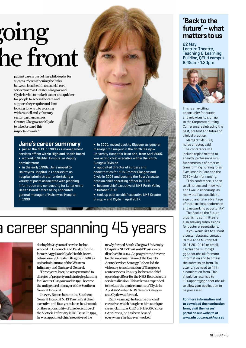# oing; he front

patient care is part of her philosophy for success: "Strengthening the links between local health and social care services across Greater Glasgow and Clyde is vital to make it easier and quicker for people to access the care and support they require and I am looking forward to working with council and voluntary sector partners across Greater Glasgow and Clyde to take forward this important work."

### **Jane's career summary**

**∫** joined the NHS in 1983 as a management services officer within Highland Health Board **∫** worked in Stobhill Hospital as deputy administrator

**∫** in the early 1990s, Jane moved to Hairmyres Hospital in Lanarkshire as hospital administrator undertaking a variety of posts associated with planning, information and contracting for Lanarkshire Health Board before being appointed general manager of Hairmyres Hospital in 1999

**∫** In 2000, moved back to Glasgow as general manager for surgery in the North Glasgow University Hospitals Trust and, from April 2005, was acting chief executive within the North Glasgow Division

**∫** appointed director of surgery and anaesthetics for NHS Greater Glasgow and Clyde in 2006 and became the Board's acute division chief operating officer in 2009

**∫** became chief executive of NHS Forth Valley in October 2013

**∫** took up post as chief executive NHS Greater Glasgow and Clyde in April 2017.

**The Contract of Contract of the Contract of the Contract of the Contract of the Contract of the Contract of the** 

# a career spanning 45 years



during his 45 years of service, he has worked in Greenock and Paisley for the former Argyll and Clyde Health Board before joining Greater Glasgow in 1985 as unit administrator of the Western Infirmary and Gartnavel General.

Three years later, he was promoted to director of property and strategic planning for Greater Glasgow and in 1991, became the unit general manager of the Southern General Hospital.

In 1993, Robert became the Southern General Hospital NHS Trust's first chief executive and four years later, he also took on the responsibility of chief executive of the Victoria Infirmary NHS Trust. In 1999, he was appointed chief executive of the

newly formed South Glasgow University Hospitals NHS Trust until Trusts were dissolved in 2004. As programme director for the implementation of the Board's Acute Services Strategy Robert led the visionary transformation of Glasgow's acute services. In 2005, he became chief operating officer for the NHS Board's acute services division. This role was expanded to include the acute elements of Clyde in April 2006 when NHS Greater Glasgow and Clyde was formed.

Eight years ago he became our chief executive, which has given him a unique career claim… as CEO of NHSGGC since 1 April 2009, he has been boss of everywhere he has ever worked!

#### **'Back to the future' – what matters to us**

22 May Lecture Theatre, Teaching & Learning Building, QEUH campus 8.45am-4.30pm



This is an exciting opportunity for nurses and midwives to sign up to the Corporate Nursing Conference, celebrating the past, present and future of clinical practice.

Margaret McGuire, nurse director, said: "The conference will include topics related to ehealth, professionalism, fundamentals of practice, transforming nursing roles, Excellence in Care and the 2030 vision for nursing.

"This conference is open to all nurses and midwives and I would encourage as many staff as possible to sign up and take advantage of this excellent conference and networking opportunity."

The Back to the Future organising committee is also seeking submissions for poster presentations.

If you would like to submit a poster abstract, contact Carole Anne Murphy, tel: 0141 201 0419 or email: caroleanne.murphy@ ggc.scot.nhs.uk for more information and to obtain the submission form. To attend, you need to fill in a nomination form. This should be returned to LE.Support@ggc.scot.nhs.uk to allow your application to be processed.

**For more information and to download the nomination form, visit the nurses' portal on our website at www.nhsggc.org.uk/nurses**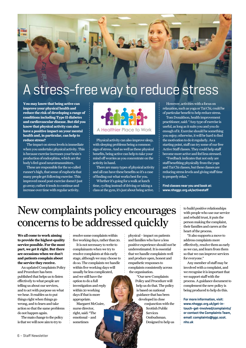## A stress-free way to reduce stress

**You may know that being active can improve your physical health and reduce the risk of developing a range of conditions including Type II diabetes and cardiovascular disease. But did you know that physical activity can also have a positive impact on your mental health and, in particular, can help to reduce stress?**

The impact on stress levels is immediate when you undertake physical activity. This is because exercise increases your brain's production of endorphins, which are the body's feel-good neurotransmitters.

These are responsible for the so-called runner's high, that sense of euphoria that many people get following exercise. This improved mood post-exercise doesn't just go away; rather it tends to continue and increase over time with regular activity.



Physical activity can also improve sleep, with sleeping problems being a common sign of stress. And as well as these physical benefits, being active can help to take your mind off worries as you concentrate on the activity in hand.

There are many types of physical activity and all can have these benefits so it's a case of finding out what works best for you.

Whether it's going for a walk at lunch time, cycling instead of driving or taking a class at the gym, it's just about being active.

However, activities with a focus on relaxation, such as yoga or Tai Chi, could be of particular benefit to help reduce stress.

Tom Donaldson, health improvement practitioner, said: "Any type of exercise is useful, as long as it suits you and you do enough of it. Exercise should be something you enjoy; otherwise, it will be hard to find the motivation to do it regularly. As a starting point, staff can try some of our free Active Staff classes. They could help staff become more active and feel less stressed.

"Feedback indicates that not only are staff benefiting physically from the yoga and Tai Chi classes, but these classes are reducing stress levels and giving staff time to properly relax."

**Find classes near you and book at: www.nhsggc.org.uk/activestaff** 

## New complaints policy encourages concerns to be addressed quickly

**We all come to work aiming to provide the highest-quality service possible. For the most part, we get it right. But there are occasions when we don't and patients complain about the service they receive.** 

An updated Complaints Policy and Procedure has been published that helps us to listen effectively to what people are telling us about our services, and to act with purpose on what we hear. It enables us to put things right when things go wrong, and to learn and take action so that the same problems do not happen again.

The main change to the policy is that we will now aim to try to

resolve some complaints within five working days, rather than 20.

It is not necessary to write to complainants when we try to resolve complaints at this early stage, although we may choose to do so. The complaints we handle within five working days will usually be less complicated, and we still have the option to do a full investigation and reply within 20 working days if that is more appropriate.

Margaret McGuire, nurse director, right, said: "The emotional – and sometimes

physical – impact on patients and families who have a less positive experience should not be underestimated. It is essential that we handle complaints well and produce open, honest and empathetic responses to complaints consistently across the organisation.

> "Our new Complaints Policy and Procedure will help us do that. The policy is based on national guidance that has been developed in close

conjunction with the Scottish Public **Services** Ombudsman. Designed to help us to build positive relationships with people who use our service and rebuild trust, it puts the person making the complaint, their families and carers at the heart of the process.

"It also supports a move to address complaints more effectively, resolve them as early as we can, and learn from them so that we can improve services for everyone."

Any member of staff may be involved with a complaint, and we recognise it is important that we support staff with the process. A guidance document to complement the new policy is being produced to help do this.

**For more information, visit: www.nhsggc.org.uk/get-intouch-get-involved/complaints/ or contact the Complaints Team, email: complaints@ggc.scot. nhs.uk**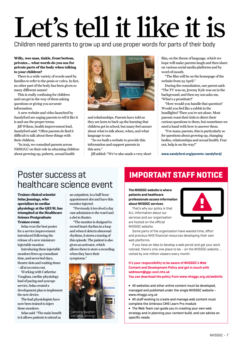# Let's tell it like it is

Children need parents to grow up and use proper words for parts of their body

#### **Willy, wee man, tinkle, front bottom, privates… what words do you use for private parts of the body when talking to your children?**

There is a wide variety of words used by families to refer to the penis or vulva. In fact, no other part of the body has been given so many different names!

This is really confusing for children and can get in the way of them asking questions or giving you accurate information.

A new website and video launched by Sandyford are urging parents to tell it like it is and use the proper terms.

Jill Wilson, health improvement lead, Sandyford said: "Often parents do find it difficult to talk about these things with their children.

"In 2015, we consulted parents across NHSGGC on their role in educating children about growing up, puberty, sexual health



and relationships. Parents have told us they are keen to back up the learning that children get in school, but many feel unsure about what to talk about, when, and what language to use.

"So we built a website to provide this information and support parents in this area."

Jill added: "We've also made a very short

film, on the theme of language, which we hope will make parents laugh and then share on various social media platforms and by word of mouth.

"The film will be on the homepage of the website from 24 April."

During the consultation, one parent said: "The TV was on, Jeremy Kyle was on in the background, and then my son asks me, 'What's a prostitute?'

"How would you handle that question? Would you feel like a rabbit in the headlights? Then you're not alone. Most parents want their kids to direct their curious questions to them, but sometimes we need a hand with how to answer them.

"For many parents, this is particularly so for questions about growing up, changing bodies, relationships and sexual health. Fear not, help is on the way!"

**www.sandyford.org/parents-sandyford/**

### Poster success at healthcare science event

**Trainee clinical scientist Selas Jennings, who specialises in cardiac physiology at the QEUH, has triumphed at the Healthcare Science Postgraduate Trainee event.**

Selas won the best poster for a service improvement introduced following the release of a new miniature injectable monitor.

Introducing these injectable monitors frees up consultant time, and saves bed days, theatre slots and waiting times – all at no extra cost.

Working with Catherine Vaughan, cardiac physiology lead of pacing and syncope service, Selas created a development plan to implement the new device.

The lead physiologists have now been trained to inject these monitors.

Selas said: "The main benefit is it allows patients to attend as

an outpatient, in a half-hour appointment slot and have this monitor injected.

"Previously it involved a day case admission to the ward and a slot in theatre.

"The monitor is designed to record heart rhythm in a loop and when it detects abnormal rhythms, it stores a tracing of this episode. The patient is also given an activator, which allows them to store a recording when they have their symptoms."



### **IMPORTANT STAFF NOTICE**

**The NHSGGC website is where patients and healthcare professionals access information about NHSGGC services.**

That's why our policy is that ALL information about our services and our organisation are hosted on the official NHSGGC website.



Some parts of the organisation have wasted time, effort and precious NHS financial resources developing their own web platforms.

If you have an idea to develop a web portal and get your work noticed, there's only one place to be – on the NHSGGC website … visited by one million viewers every month.

#### **It's your responsibility to be aware of NHSGGC's Web Content and Development Policy and get in touch with webteam@ggc.scot.nhs.uk**

**You can download the policy from www.nhsggc.org.uk/webinfo**

**∫** All websites and other online content must be developed, managed and published under the single NHSGGC website – www.nhsggc.org.uk

**∫** All staff wishing to create and manage web content must complete the Umbraco CMS Learn Pro module

**∫** The Web Team can guide you in creating your own web strategy and in planning your content build, and can advise on specific needs.